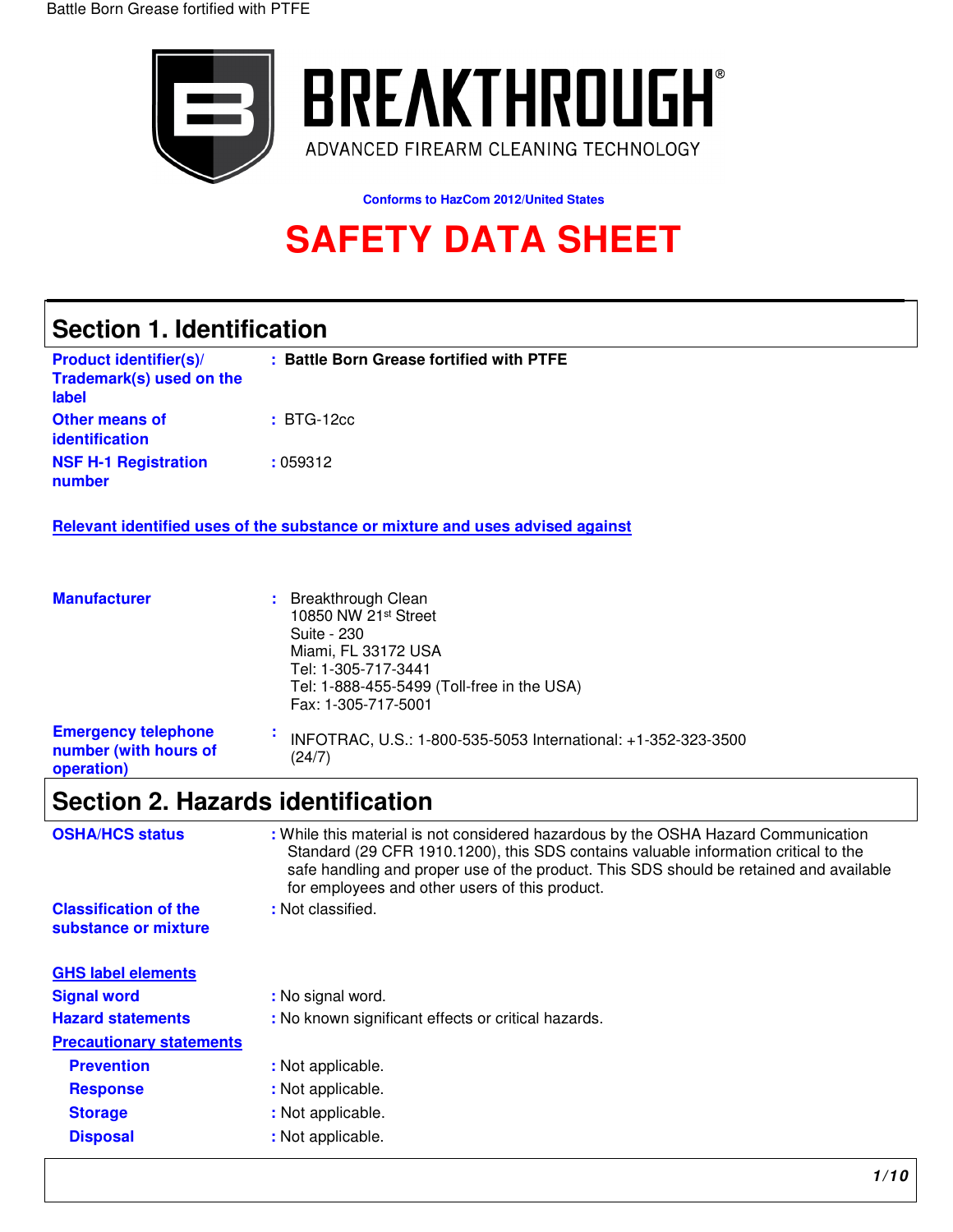

**Conforms to HazCom 2012/United States** 

# **SAFETY DATA SHEET**

## **Section 1. Identification**

| <b>Product identifier(s)/</b><br>Trademark(s) used on the<br>label | : Battle Born Grease fortified with PTFE |
|--------------------------------------------------------------------|------------------------------------------|
| <b>Other means of</b><br>identification                            | $\pm$ BTG-12 $cc$                        |
| <b>NSF H-1 Registration</b><br>number                              | :059312                                  |

**Relevant identified uses of the substance or mixture and uses advised against** 

| <b>Manufacturer</b>                                               | : Breakthrough Clean<br>10850 NW 21st Street<br>Suite - 230<br>Miami, FL 33172 USA<br>Tel: 1-305-717-3441<br>Tel: 1-888-455-5499 (Toll-free in the USA)<br>Fax: 1-305-717-5001 |
|-------------------------------------------------------------------|--------------------------------------------------------------------------------------------------------------------------------------------------------------------------------|
| <b>Emergency telephone</b><br>number (with hours of<br>operation) | INFOTRAC, U.S.: 1-800-535-5053 International: +1-352-323-3500<br>(24/7)                                                                                                        |

## **Section 2. Hazards identification**

| <b>OSHA/HCS status</b>                               | : While this material is not considered hazardous by the OSHA Hazard Communication<br>Standard (29 CFR 1910.1200), this SDS contains valuable information critical to the<br>safe handling and proper use of the product. This SDS should be retained and available<br>for employees and other users of this product. |
|------------------------------------------------------|-----------------------------------------------------------------------------------------------------------------------------------------------------------------------------------------------------------------------------------------------------------------------------------------------------------------------|
| <b>Classification of the</b><br>substance or mixture | : Not classified.                                                                                                                                                                                                                                                                                                     |
| <b>GHS label elements</b>                            |                                                                                                                                                                                                                                                                                                                       |
| <b>Signal word</b>                                   | : No signal word.                                                                                                                                                                                                                                                                                                     |
| <b>Hazard statements</b>                             | : No known significant effects or critical hazards.                                                                                                                                                                                                                                                                   |
| <b>Precautionary statements</b>                      |                                                                                                                                                                                                                                                                                                                       |
| <b>Prevention</b>                                    | : Not applicable.                                                                                                                                                                                                                                                                                                     |
| <b>Response</b>                                      | : Not applicable.                                                                                                                                                                                                                                                                                                     |
| <b>Storage</b>                                       | : Not applicable.                                                                                                                                                                                                                                                                                                     |
| <b>Disposal</b>                                      | : Not applicable.                                                                                                                                                                                                                                                                                                     |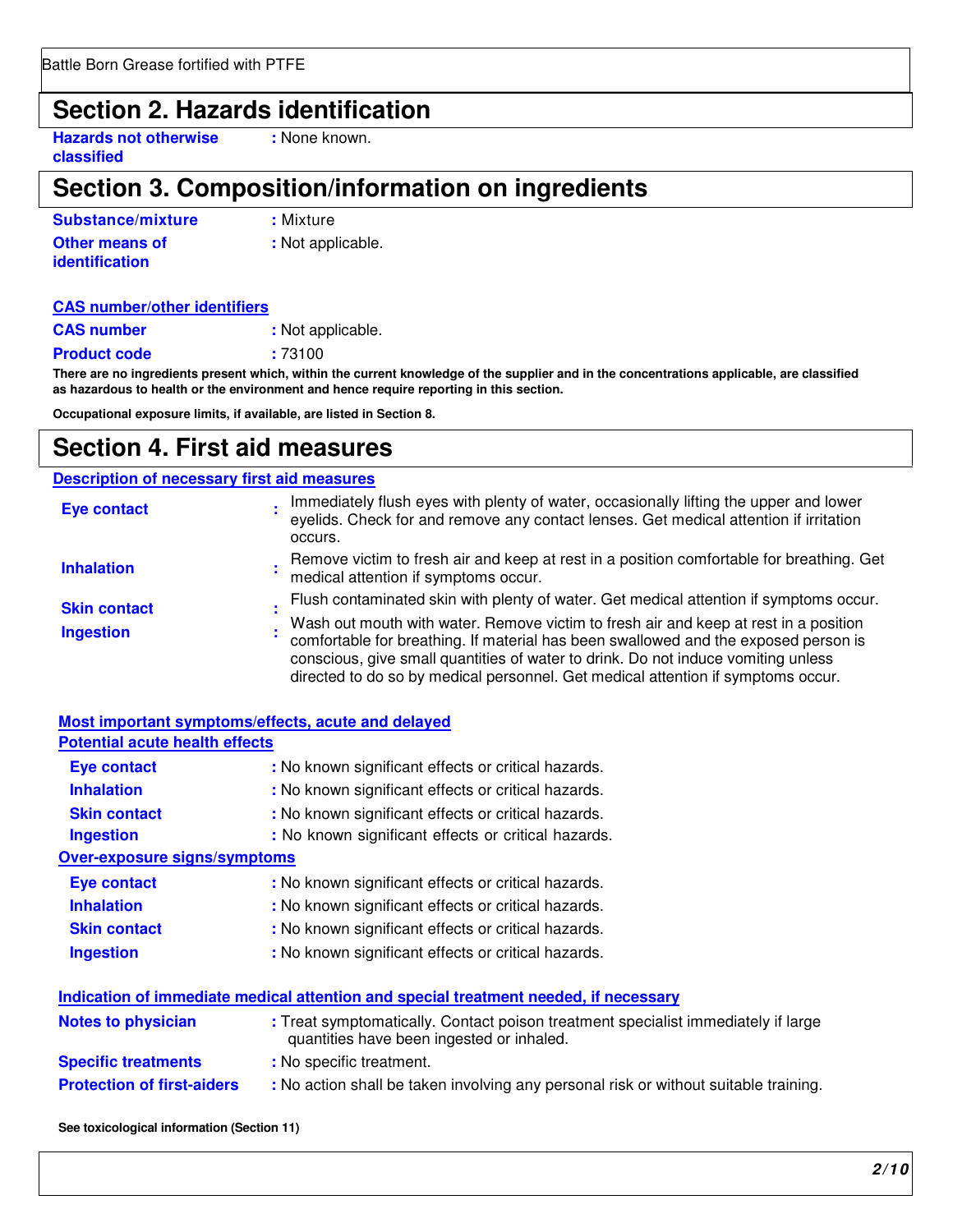### **Section 2. Hazards identification**

**Hazards not otherwise : None known. classified** 

## **Section 3. Composition/information on ingredients**

| Substance/mixture     | : Mixture         |
|-----------------------|-------------------|
| <b>Other means of</b> | : Not applicable. |
| <i>identification</i> |                   |

#### **CAS number/other identifiers**

**CAS number :** Not applicable.

**Product code :** 73100

**There are no ingredients present which, within the current knowledge of the supplier and in the concentrations applicable, are classified as hazardous to health or the environment and hence require reporting in this section.** 

**Occupational exposure limits, if available, are listed in Section 8.** 

### **Section 4. First aid measures**

### **Description of necessary first aid measures**

| <b>Eye contact</b>  | Immediately flush eyes with plenty of water, occasionally lifting the upper and lower<br>eyelids. Check for and remove any contact lenses. Get medical attention if irritation<br>occurs.                                                                                                                                                            |
|---------------------|------------------------------------------------------------------------------------------------------------------------------------------------------------------------------------------------------------------------------------------------------------------------------------------------------------------------------------------------------|
| <b>Inhalation</b>   | Remove victim to fresh air and keep at rest in a position comfortable for breathing. Get<br>medical attention if symptoms occur.                                                                                                                                                                                                                     |
| <b>Skin contact</b> | Flush contaminated skin with plenty of water. Get medical attention if symptoms occur.                                                                                                                                                                                                                                                               |
| <b>Ingestion</b>    | Wash out mouth with water. Remove victim to fresh air and keep at rest in a position<br>comfortable for breathing. If material has been swallowed and the exposed person is<br>conscious, give small quantities of water to drink. Do not induce vomiting unless<br>directed to do so by medical personnel. Get medical attention if symptoms occur. |

|                                       | Most important symptoms/effects, acute and delayed                                                                             |
|---------------------------------------|--------------------------------------------------------------------------------------------------------------------------------|
| <b>Potential acute health effects</b> |                                                                                                                                |
| <b>Eye contact</b>                    | : No known significant effects or critical hazards.                                                                            |
| <b>Inhalation</b>                     | : No known significant effects or critical hazards.                                                                            |
| <b>Skin contact</b>                   | : No known significant effects or critical hazards.                                                                            |
| <b>Ingestion</b>                      | : No known significant effects or critical hazards.                                                                            |
| <b>Over-exposure signs/symptoms</b>   |                                                                                                                                |
| <b>Eye contact</b>                    | : No known significant effects or critical hazards.                                                                            |
| <b>Inhalation</b>                     | : No known significant effects or critical hazards.                                                                            |
| <b>Skin contact</b>                   | : No known significant effects or critical hazards.                                                                            |
| <b>Ingestion</b>                      | : No known significant effects or critical hazards.                                                                            |
|                                       | Indication of immediate medical attention and special treatment needed, if necessary                                           |
| <b>Notes to physician</b>             | : Treat symptomatically. Contact poison treatment specialist immediately if large<br>quantities have been ingested or inhaled. |
|                                       |                                                                                                                                |

**Specific treatments** : No specific treatment.

**Protection of first-aiders** : No action shall be taken involving any personal risk or without suitable training.

**See toxicological information (Section 11)**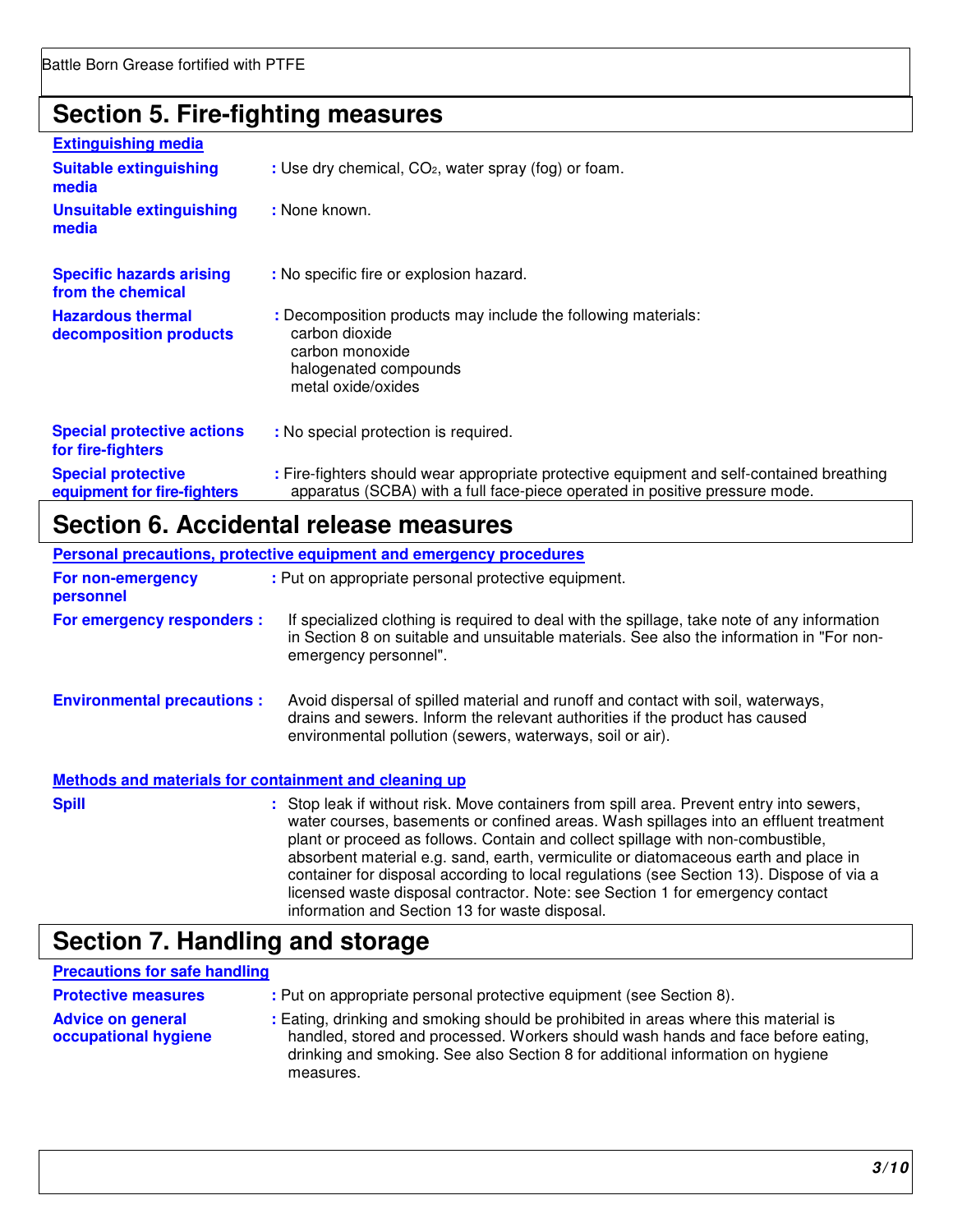### **Section 5. Fire-fighting measures**

| <b>Extinguishing media</b>                               |                                                                                                                                                                          |
|----------------------------------------------------------|--------------------------------------------------------------------------------------------------------------------------------------------------------------------------|
| <b>Suitable extinguishing</b><br>media                   | : Use dry chemical, CO <sub>2</sub> , water spray (fog) or foam.                                                                                                         |
| <b>Unsuitable extinguishing</b><br>media                 | : None known.                                                                                                                                                            |
| <b>Specific hazards arising</b><br>from the chemical     | : No specific fire or explosion hazard.                                                                                                                                  |
| <b>Hazardous thermal</b><br>decomposition products       | : Decomposition products may include the following materials:<br>carbon dioxide<br>carbon monoxide<br>halogenated compounds<br>metal oxide/oxides                        |
| <b>Special protective actions</b><br>for fire-fighters   | : No special protection is required.                                                                                                                                     |
| <b>Special protective</b><br>equipment for fire-fighters | : Fire-fighters should wear appropriate protective equipment and self-contained breathing<br>apparatus (SCBA) with a full face-piece operated in positive pressure mode. |

## **Section 6. Accidental release measures**

|                                                       | Personal precautions, protective equipment and emergency procedures                                                                                                                                                                                                                                                                                                                                                                                                                                                                                                                        |  |
|-------------------------------------------------------|--------------------------------------------------------------------------------------------------------------------------------------------------------------------------------------------------------------------------------------------------------------------------------------------------------------------------------------------------------------------------------------------------------------------------------------------------------------------------------------------------------------------------------------------------------------------------------------------|--|
| For non-emergency<br>personnel                        | : Put on appropriate personal protective equipment.                                                                                                                                                                                                                                                                                                                                                                                                                                                                                                                                        |  |
| For emergency responders :                            | If specialized clothing is required to deal with the spillage, take note of any information<br>in Section 8 on suitable and unsuitable materials. See also the information in "For non-<br>emergency personnel".                                                                                                                                                                                                                                                                                                                                                                           |  |
| <b>Environmental precautions:</b>                     | Avoid dispersal of spilled material and runoff and contact with soil, waterways,<br>drains and sewers. Inform the relevant authorities if the product has caused<br>environmental pollution (sewers, waterways, soil or air).                                                                                                                                                                                                                                                                                                                                                              |  |
| Methods and materials for containment and cleaning up |                                                                                                                                                                                                                                                                                                                                                                                                                                                                                                                                                                                            |  |
| <b>Spill</b>                                          | : Stop leak if without risk. Move containers from spill area. Prevent entry into sewers,<br>water courses, basements or confined areas. Wash spillages into an effluent treatment<br>plant or proceed as follows. Contain and collect spillage with non-combustible,<br>absorbent material e.g. sand, earth, vermiculite or diatomaceous earth and place in<br>container for disposal according to local regulations (see Section 13). Dispose of via a<br>licensed waste disposal contractor. Note: see Section 1 for emergency contact<br>information and Section 13 for waste disposal. |  |

## **Section 7. Handling and storage**

### **Precautions for safe handling Protective measures : Put on appropriate personal protective equipment (see Section 8).** Advice on general : Eating, drinking and smoking should be prohibited in areas where this material is<br>occupational hygiene handled, stored and processed. Workers should wash hands and face before ea handled, stored and processed. Workers should wash hands and face before eating, drinking and smoking. See also Section 8 for additional information on hygiene measures.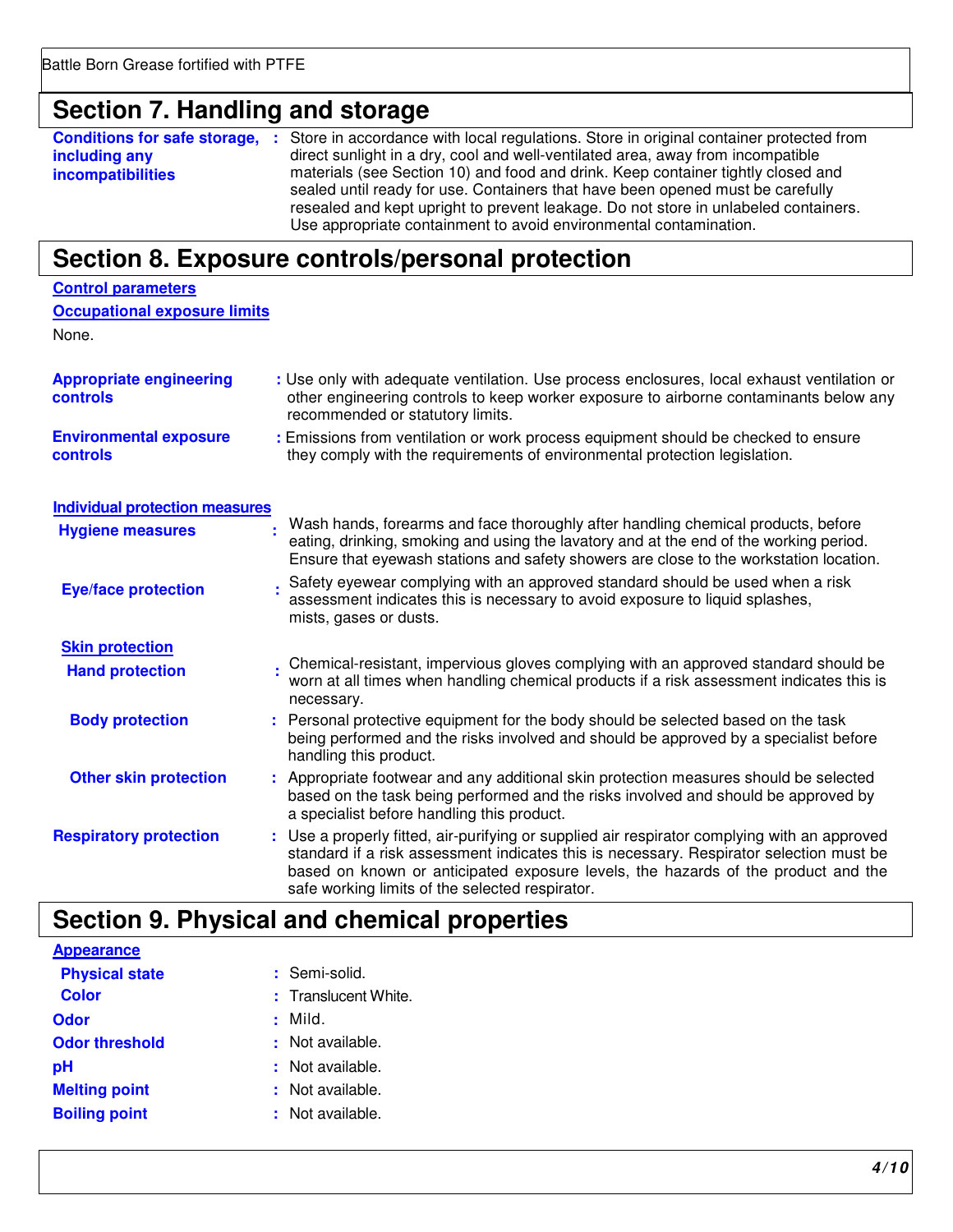## **Section 7. Handling and storage**

**Conditions for safe storage, :** Store in accordance with local regulations. Store in original container protected from **including any incompatibilities**  direct sunlight in a dry, cool and well-ventilated area, away from incompatible materials (see Section 10) and food and drink. Keep container tightly closed and sealed until ready for use. Containers that have been opened must be carefully resealed and kept upright to prevent leakage. Do not store in unlabeled containers. Use appropriate containment to avoid environmental contamination.

## **Section 8. Exposure controls/personal protection**

| <b>Control parameters</b>                        |                                                                                                                                                                                                                                                                                                                                 |
|--------------------------------------------------|---------------------------------------------------------------------------------------------------------------------------------------------------------------------------------------------------------------------------------------------------------------------------------------------------------------------------------|
| <b>Occupational exposure limits</b>              |                                                                                                                                                                                                                                                                                                                                 |
| None.                                            |                                                                                                                                                                                                                                                                                                                                 |
| <b>Appropriate engineering</b><br>controls       | : Use only with adequate ventilation. Use process enclosures, local exhaust ventilation or<br>other engineering controls to keep worker exposure to airborne contaminants below any<br>recommended or statutory limits.                                                                                                         |
| <b>Environmental exposure</b><br><b>controls</b> | : Emissions from ventilation or work process equipment should be checked to ensure<br>they comply with the requirements of environmental protection legislation.                                                                                                                                                                |
| <b>Individual protection measures</b>            |                                                                                                                                                                                                                                                                                                                                 |
| <b>Hygiene measures</b>                          | Wash hands, forearms and face thoroughly after handling chemical products, before<br>eating, drinking, smoking and using the lavatory and at the end of the working period.<br>Ensure that eyewash stations and safety showers are close to the workstation location.                                                           |
| <b>Eye/face protection</b>                       | Safety eyewear complying with an approved standard should be used when a risk<br>assessment indicates this is necessary to avoid exposure to liquid splashes,<br>mists, gases or dusts.                                                                                                                                         |
| <b>Skin protection</b>                           |                                                                                                                                                                                                                                                                                                                                 |
| <b>Hand protection</b>                           | Chemical-resistant, impervious gloves complying with an approved standard should be<br>worn at all times when handling chemical products if a risk assessment indicates this is<br>necessary.                                                                                                                                   |
| <b>Body protection</b>                           | Personal protective equipment for the body should be selected based on the task<br>being performed and the risks involved and should be approved by a specialist before<br>handling this product.                                                                                                                               |
| <b>Other skin protection</b>                     | : Appropriate footwear and any additional skin protection measures should be selected<br>based on the task being performed and the risks involved and should be approved by<br>a specialist before handling this product.                                                                                                       |
| <b>Respiratory protection</b>                    | : Use a properly fitted, air-purifying or supplied air respirator complying with an approved<br>standard if a risk assessment indicates this is necessary. Respirator selection must be<br>based on known or anticipated exposure levels, the hazards of the product and the<br>safe working limits of the selected respirator. |

## **Section 9. Physical and chemical properties**

| <b>Appearance</b>     |                      |
|-----------------------|----------------------|
| <b>Physical state</b> | : Semi-solid.        |
| <b>Color</b>          | : Translucent White. |
| Odor                  | : Mild.              |
| <b>Odor threshold</b> | : Not available.     |
| рH                    | $:$ Not available.   |
| <b>Melting point</b>  | : Not available.     |
| <b>Boiling point</b>  | : Not available.     |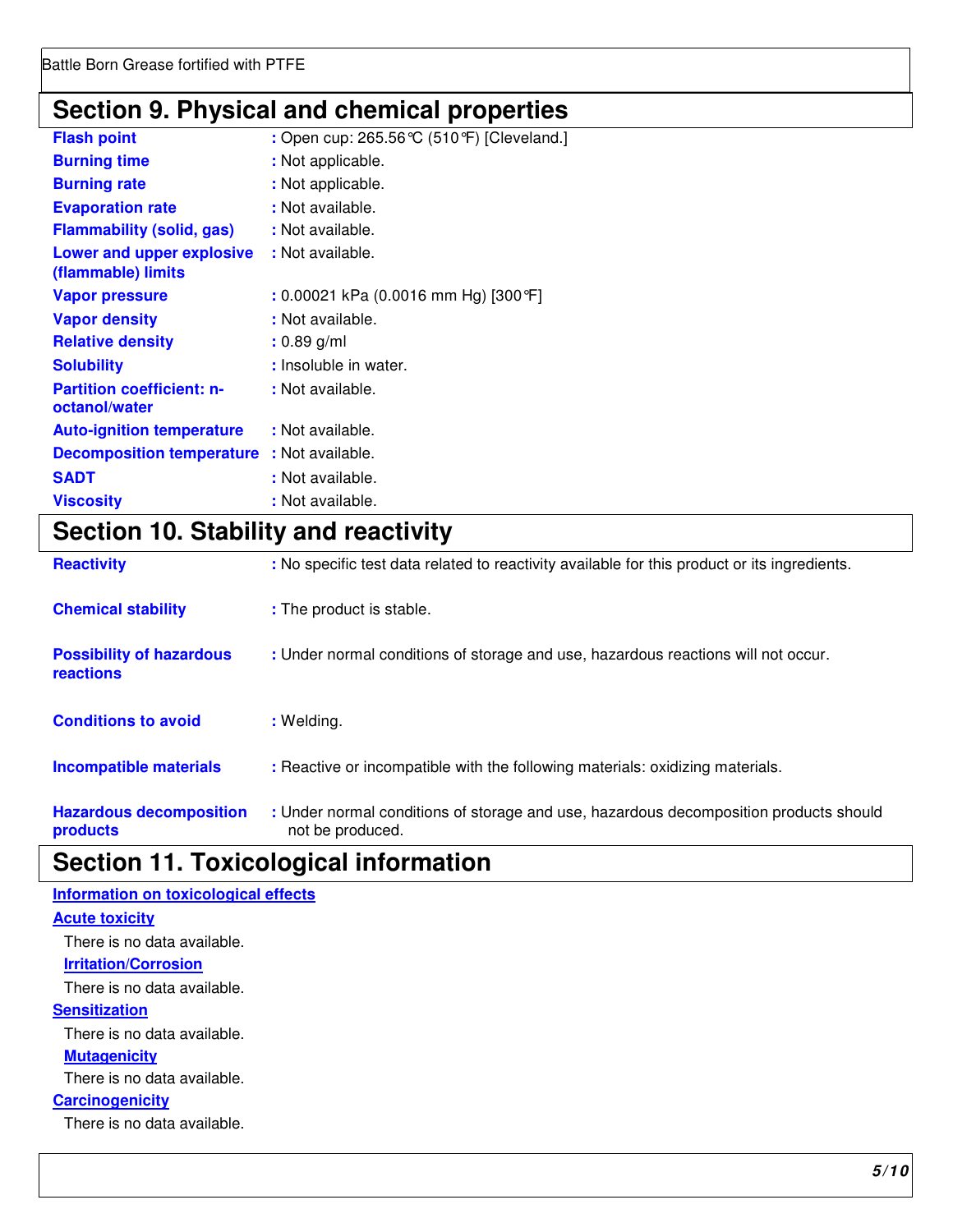## **Section 9. Physical and chemical properties**

| <b>Burning time</b><br>: Not applicable.<br><b>Burning rate</b><br>: Not applicable.<br>: Not available.<br><b>Evaporation rate</b><br><b>Flammability (solid, gas)</b><br>: Not available.<br><b>Lower and upper explosive</b><br>: Not available.<br>(flammable) limits<br>: 0.00021 kPa (0.0016 mm Hg) [300 °F]<br><b>Vapor pressure</b><br>: Not available.<br><b>Vapor density</b><br><b>Relative density</b><br>$: 0.89$ g/ml<br>: Insoluble in water.<br><b>Solubility</b><br><b>Partition coefficient: n-</b><br>: Not available.<br>octanol/water<br>: Not available.<br><b>Auto-ignition temperature</b><br>: Not available.<br><b>Decomposition temperature</b><br><b>SADT</b><br>: Not available.<br><b>Viscosity</b><br>: Not available. | <b>Flash point</b> | : Open cup: 265.56 °C (510 °F) [Cleveland.] |
|-------------------------------------------------------------------------------------------------------------------------------------------------------------------------------------------------------------------------------------------------------------------------------------------------------------------------------------------------------------------------------------------------------------------------------------------------------------------------------------------------------------------------------------------------------------------------------------------------------------------------------------------------------------------------------------------------------------------------------------------------------|--------------------|---------------------------------------------|
|                                                                                                                                                                                                                                                                                                                                                                                                                                                                                                                                                                                                                                                                                                                                                       |                    |                                             |
|                                                                                                                                                                                                                                                                                                                                                                                                                                                                                                                                                                                                                                                                                                                                                       |                    |                                             |
|                                                                                                                                                                                                                                                                                                                                                                                                                                                                                                                                                                                                                                                                                                                                                       |                    |                                             |
|                                                                                                                                                                                                                                                                                                                                                                                                                                                                                                                                                                                                                                                                                                                                                       |                    |                                             |
|                                                                                                                                                                                                                                                                                                                                                                                                                                                                                                                                                                                                                                                                                                                                                       |                    |                                             |
|                                                                                                                                                                                                                                                                                                                                                                                                                                                                                                                                                                                                                                                                                                                                                       |                    |                                             |
|                                                                                                                                                                                                                                                                                                                                                                                                                                                                                                                                                                                                                                                                                                                                                       |                    |                                             |
|                                                                                                                                                                                                                                                                                                                                                                                                                                                                                                                                                                                                                                                                                                                                                       |                    |                                             |
|                                                                                                                                                                                                                                                                                                                                                                                                                                                                                                                                                                                                                                                                                                                                                       |                    |                                             |
|                                                                                                                                                                                                                                                                                                                                                                                                                                                                                                                                                                                                                                                                                                                                                       |                    |                                             |
|                                                                                                                                                                                                                                                                                                                                                                                                                                                                                                                                                                                                                                                                                                                                                       |                    |                                             |
|                                                                                                                                                                                                                                                                                                                                                                                                                                                                                                                                                                                                                                                                                                                                                       |                    |                                             |
|                                                                                                                                                                                                                                                                                                                                                                                                                                                                                                                                                                                                                                                                                                                                                       |                    |                                             |
|                                                                                                                                                                                                                                                                                                                                                                                                                                                                                                                                                                                                                                                                                                                                                       |                    |                                             |

## **Section 10. Stability and reactivity**

| <b>Reactivity</b>                            | : No specific test data related to reactivity available for this product or its ingredients.              |
|----------------------------------------------|-----------------------------------------------------------------------------------------------------------|
| <b>Chemical stability</b>                    | : The product is stable.                                                                                  |
| <b>Possibility of hazardous</b><br>reactions | : Under normal conditions of storage and use, hazardous reactions will not occur.                         |
| <b>Conditions to avoid</b>                   | : Welding.                                                                                                |
| <b>Incompatible materials</b>                | : Reactive or incompatible with the following materials: oxidizing materials.                             |
| <b>Hazardous decomposition</b><br>products   | : Under normal conditions of storage and use, hazardous decomposition products should<br>not be produced. |

## **Section 11. Toxicological information**

| Information on toxicological effects |
|--------------------------------------|
| <b>Acute toxicity</b>                |
| There is no data available.          |
| <b>Irritation/Corrosion</b>          |
| There is no data available.          |
| <b>Sensitization</b>                 |
| There is no data available.          |
| <b>Mutagenicity</b>                  |
| There is no data available.          |
| <b>Carcinogenicity</b>               |
| There is no data available.          |
|                                      |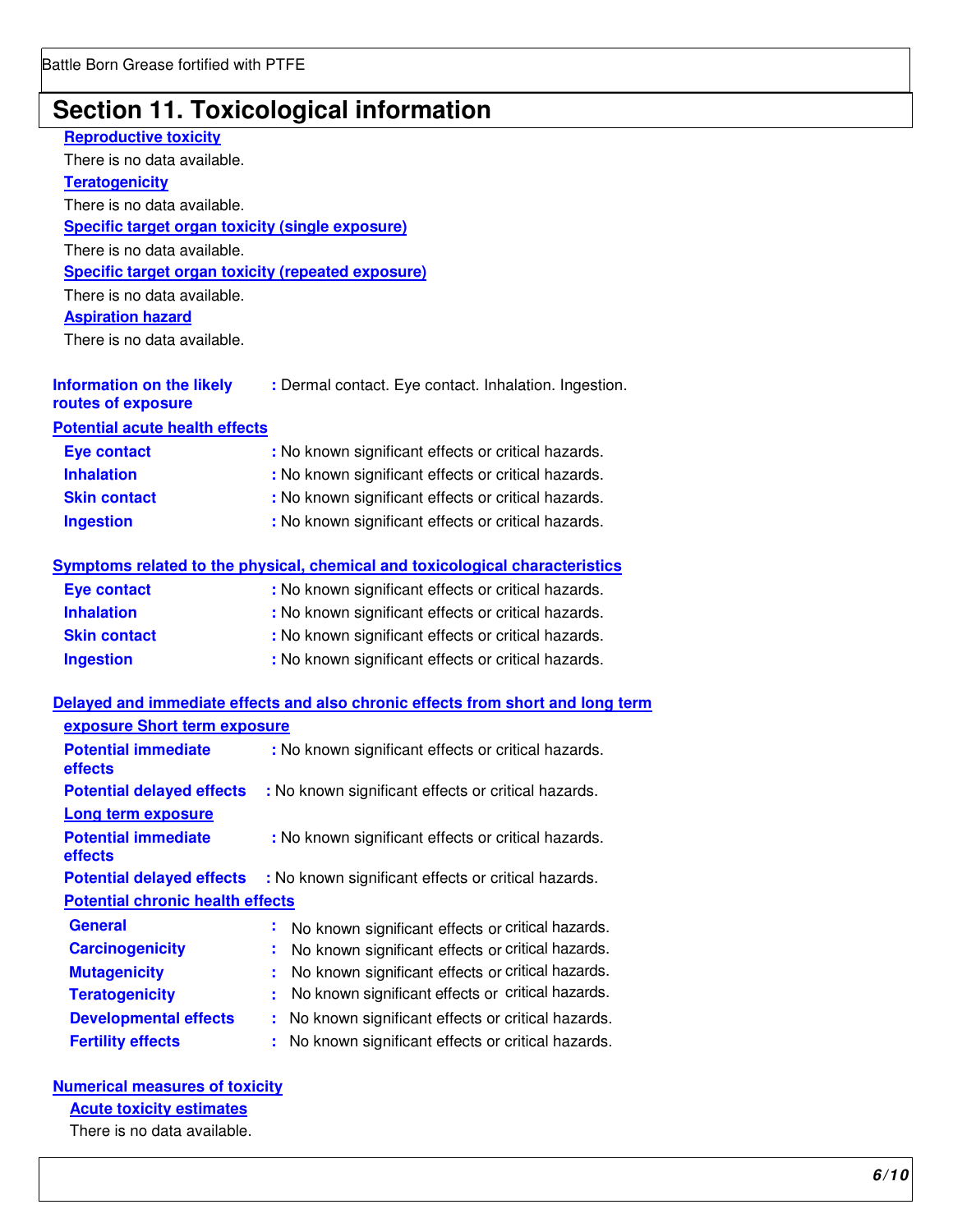## **Section 11. Toxicological information**

| <b>Reproductive toxicity</b>                              |                                                                                 |
|-----------------------------------------------------------|---------------------------------------------------------------------------------|
| There is no data available.                               |                                                                                 |
| <b>Teratogenicity</b>                                     |                                                                                 |
| There is no data available.                               |                                                                                 |
| <b>Specific target organ toxicity (single exposure)</b>   |                                                                                 |
| There is no data available.                               |                                                                                 |
| <b>Specific target organ toxicity (repeated exposure)</b> |                                                                                 |
| There is no data available.                               |                                                                                 |
| <b>Aspiration hazard</b>                                  |                                                                                 |
| There is no data available.                               |                                                                                 |
| <b>Information on the likely</b><br>routes of exposure    | : Dermal contact. Eye contact. Inhalation. Ingestion.                           |
| <b>Potential acute health effects</b>                     |                                                                                 |
| <b>Eye contact</b>                                        | : No known significant effects or critical hazards.                             |
| <b>Inhalation</b>                                         | : No known significant effects or critical hazards.                             |
| <b>Skin contact</b>                                       | : No known significant effects or critical hazards.                             |
| <b>Ingestion</b>                                          | : No known significant effects or critical hazards.                             |
|                                                           | Symptoms related to the physical, chemical and toxicological characteristics    |
| <b>Eye contact</b>                                        | : No known significant effects or critical hazards.                             |
| <b>Inhalation</b>                                         | : No known significant effects or critical hazards.                             |
| <b>Skin contact</b>                                       | : No known significant effects or critical hazards.                             |
| <b>Ingestion</b>                                          | : No known significant effects or critical hazards.                             |
|                                                           | Delayed and immediate effects and also chronic effects from short and long term |
| exposure Short term exposure                              |                                                                                 |
| <b>Potential immediate</b><br>effects                     | : No known significant effects or critical hazards.                             |
| <b>Potential delayed effects</b>                          | : No known significant effects or critical hazards.                             |
| Long term exposure                                        |                                                                                 |
| <b>Potential immediate</b><br>effects                     | : No known significant effects or critical hazards.                             |
| <b>Potential delayed effects</b>                          | : No known significant effects or critical hazards.                             |
| <b>Potential chronic health effects</b>                   |                                                                                 |
| <b>General</b>                                            | No known significant effects or critical hazards.<br>÷                          |
| <b>Carcinogenicity</b>                                    | No known significant effects or critical hazards.                               |
| <b>Mutagenicity</b>                                       | No known significant effects or critical hazards.                               |
| <b>Teratogenicity</b>                                     | No known significant effects or critical hazards.<br>t                          |
| <b>Developmental effects</b>                              | No known significant effects or critical hazards.<br>÷                          |
| <b>Fertility effects</b>                                  | No known significant effects or critical hazards.<br>t                          |
|                                                           |                                                                                 |

**Numerical measures of toxicity** 

**Acute toxicity estimates** 

There is no data available.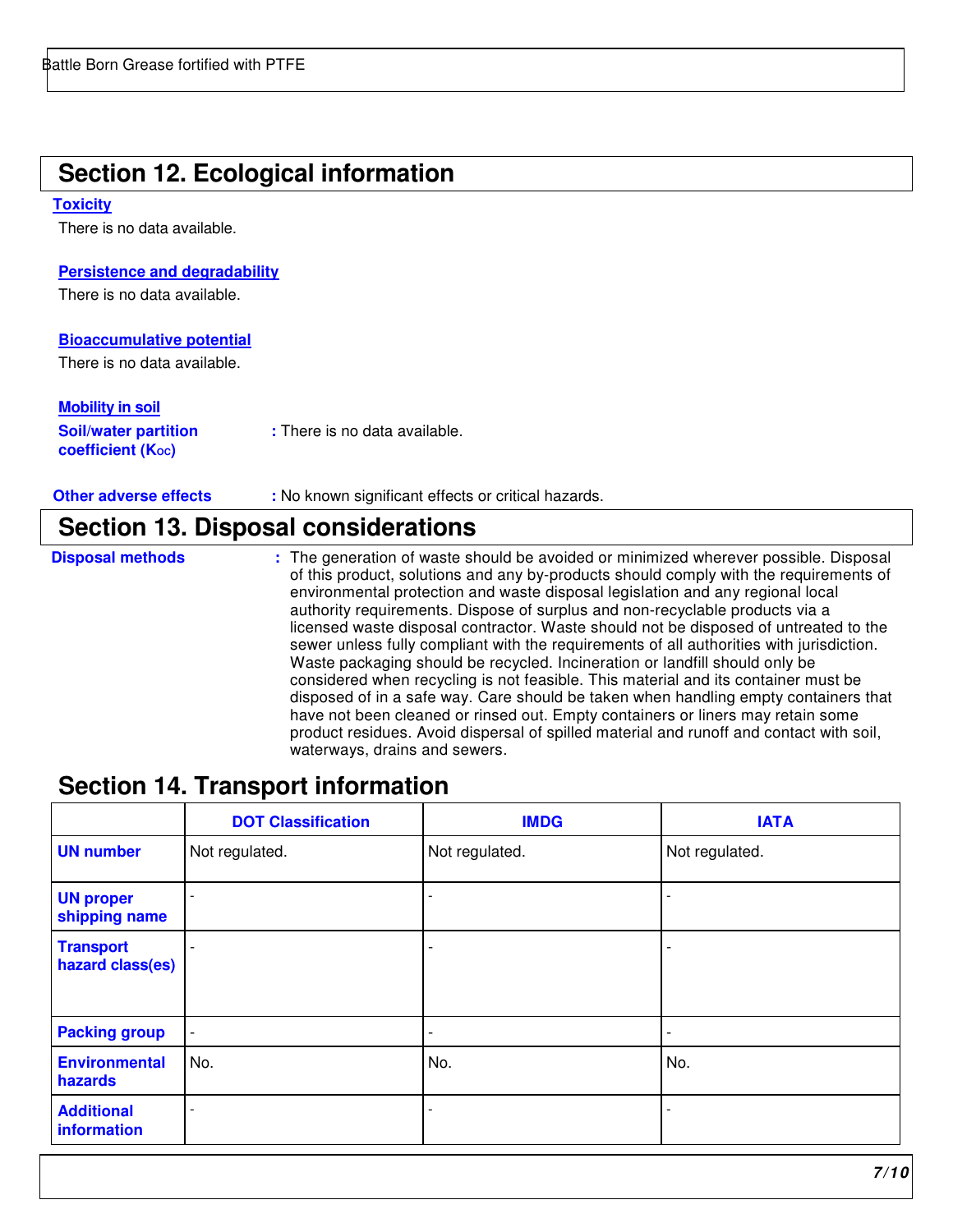## **Section 12. Ecological information**

#### **Toxicity**

There is no data available.

#### **Persistence and degradability**

There is no data available.

#### **Bioaccumulative potential**

There is no data available.

#### **Mobility in soil**

| <b>Soil/water partition</b> | : There is no data available. |
|-----------------------------|-------------------------------|
| <b>coefficient (Koc)</b>    |                               |

**Other adverse effects : No known significant effects or critical hazards.** 

### **Section 13. Disposal considerations**

- 
- **Disposal methods** : The generation of waste should be avoided or minimized wherever possible. Disposal of this product, solutions and any by-products should comply with the requirements of environmental protection and waste disposal legislation and any regional local authority requirements. Dispose of surplus and non-recyclable products via a licensed waste disposal contractor. Waste should not be disposed of untreated to the sewer unless fully compliant with the requirements of all authorities with jurisdiction. Waste packaging should be recycled. Incineration or landfill should only be considered when recycling is not feasible. This material and its container must be disposed of in a safe way. Care should be taken when handling empty containers that have not been cleaned or rinsed out. Empty containers or liners may retain some product residues. Avoid dispersal of spilled material and runoff and contact with soil, waterways, drains and sewers.

### **Section 14. Transport information**

|                                      | <b>DOT Classification</b> | <b>IMDG</b>              | <b>IATA</b>              |
|--------------------------------------|---------------------------|--------------------------|--------------------------|
| <b>UN number</b>                     | Not regulated.            | Not regulated.           | Not regulated.           |
| <b>UN proper</b><br>shipping name    |                           |                          |                          |
| <b>Transport</b><br>hazard class(es) |                           |                          | $\overline{\phantom{0}}$ |
| <b>Packing group</b>                 | $\overline{\phantom{a}}$  | $\overline{\phantom{a}}$ | $\overline{\phantom{a}}$ |
| <b>Environmental</b><br>hazards      | No.                       | No.                      | No.                      |
| <b>Additional</b><br>information     |                           |                          | $\overline{\phantom{a}}$ |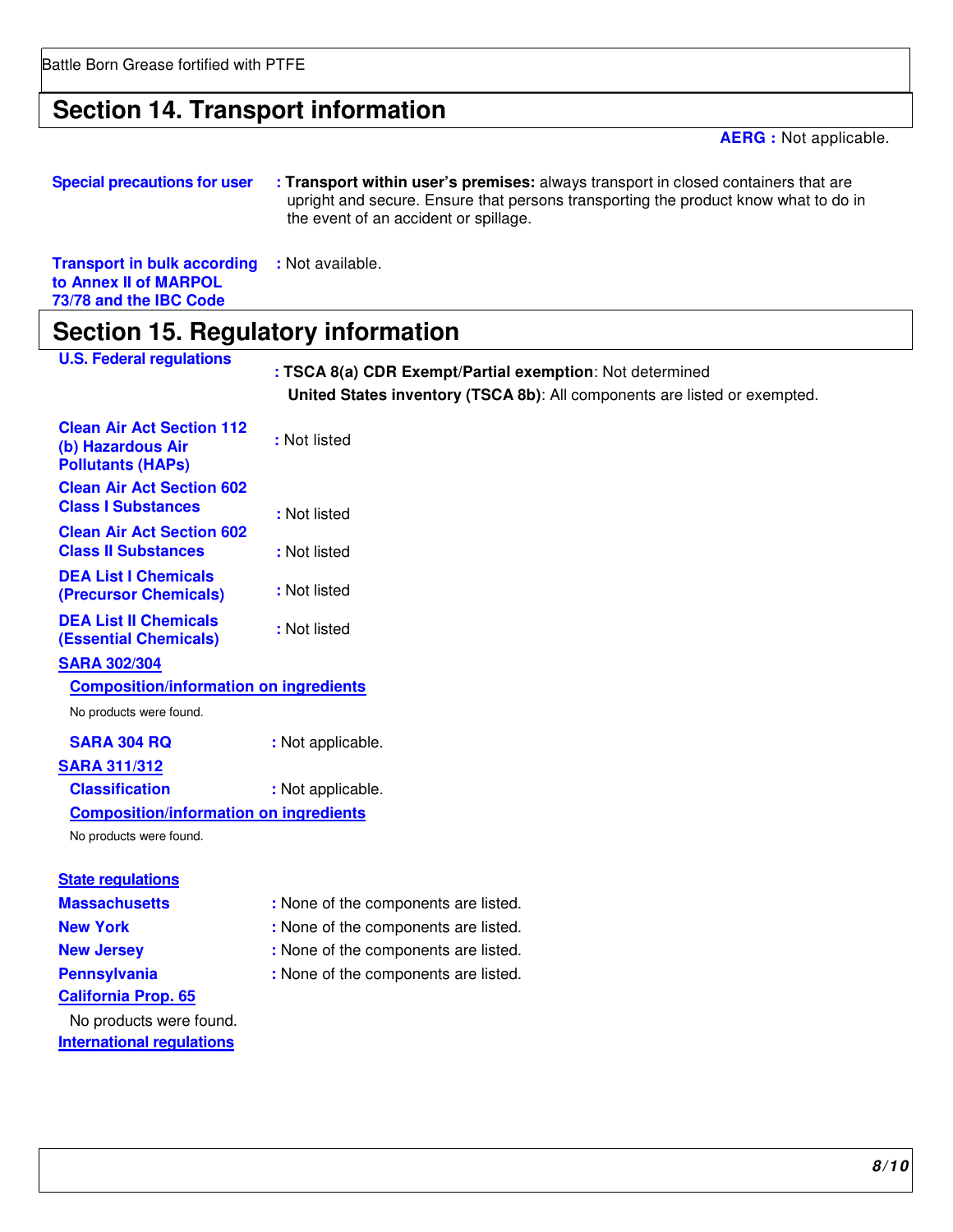Battle Born Grease fortified with PTFE

## **Section 14. Transport information**

**AERG :** Not applicable.

| <b>Special precautions for user</b> | : Transport within user's premises: always transport in closed containers that are  |
|-------------------------------------|-------------------------------------------------------------------------------------|
|                                     | upright and secure. Ensure that persons transporting the product know what to do in |
|                                     | the event of an accident or spillage.                                               |
|                                     |                                                                                     |
|                                     |                                                                                     |

**Transport in bulk according :** Not available. **to Annex II of MARPOL 73/78 and the IBC Code** 

## **Section 15. Regulatory information**

| <b>U.S. Federal regulations</b>                                                   | : TSCA 8(a) CDR Exempt/Partial exemption: Not determined<br>United States inventory (TSCA 8b): All components are listed or exempted. |
|-----------------------------------------------------------------------------------|---------------------------------------------------------------------------------------------------------------------------------------|
| <b>Clean Air Act Section 112</b><br>(b) Hazardous Air<br><b>Pollutants (HAPs)</b> | : Not listed                                                                                                                          |
| <b>Clean Air Act Section 602</b><br><b>Class I Substances</b>                     | : Not listed                                                                                                                          |
| <b>Clean Air Act Section 602</b><br><b>Class II Substances</b>                    | : Not listed                                                                                                                          |
| <b>DEA List I Chemicals</b><br>(Precursor Chemicals)                              | : Not listed                                                                                                                          |
| <b>DEA List II Chemicals</b><br><b>(Essential Chemicals)</b>                      | : Not listed                                                                                                                          |
| <b>SARA 302/304</b>                                                               |                                                                                                                                       |
| <b>Composition/information on ingredients</b>                                     |                                                                                                                                       |
| No products were found.                                                           |                                                                                                                                       |
| <b>SARA 304 RQ</b>                                                                | : Not applicable.                                                                                                                     |
| <b>SARA 311/312</b>                                                               |                                                                                                                                       |
| <b>Classification</b>                                                             | : Not applicable.                                                                                                                     |
| <b>Composition/information on ingredients</b>                                     |                                                                                                                                       |
| No products were found.                                                           |                                                                                                                                       |
| <b>State regulations</b>                                                          |                                                                                                                                       |
| <b>Massachusetts</b>                                                              | : None of the components are listed.                                                                                                  |
| <b>New York</b>                                                                   | : None of the components are listed.                                                                                                  |
| <b>New Jersey</b>                                                                 | : None of the components are listed.                                                                                                  |
| <b>Pennsylvania</b>                                                               | : None of the components are listed.                                                                                                  |
| <b>California Prop. 65</b>                                                        |                                                                                                                                       |
| No products were found.                                                           |                                                                                                                                       |
| <b>International regulations</b>                                                  |                                                                                                                                       |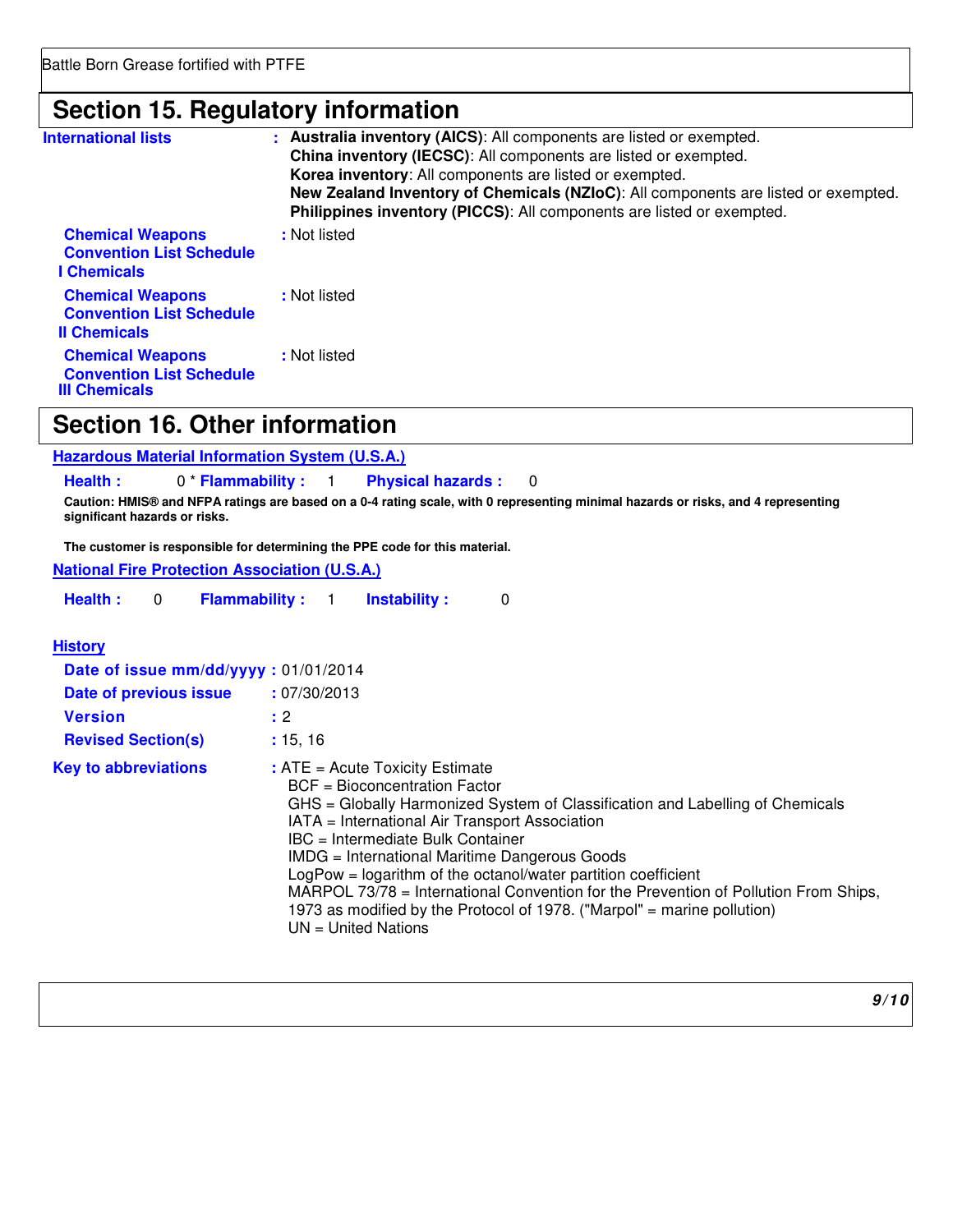## **Section 15. Regulatory information**

| <b>International lists</b>                                                         | : Australia inventory (AICS): All components are listed or exempted.<br>China inventory (IECSC): All components are listed or exempted.<br>Korea inventory: All components are listed or exempted.<br>New Zealand Inventory of Chemicals (NZIoC): All components are listed or exempted.<br>Philippines inventory (PICCS): All components are listed or exempted. |
|------------------------------------------------------------------------------------|-------------------------------------------------------------------------------------------------------------------------------------------------------------------------------------------------------------------------------------------------------------------------------------------------------------------------------------------------------------------|
| <b>Chemical Weapons</b><br><b>Convention List Schedule</b><br><b>I</b> Chemicals   | : Not listed                                                                                                                                                                                                                                                                                                                                                      |
| <b>Chemical Weapons</b><br><b>Convention List Schedule</b><br><b>Il Chemicals</b>  | : Not listed                                                                                                                                                                                                                                                                                                                                                      |
| <b>Chemical Weapons</b><br><b>Convention List Schedule</b><br><b>III Chemicals</b> | : Not listed                                                                                                                                                                                                                                                                                                                                                      |

## **Section 16. Other information**

| <b>Hazardous Material Information System (U.S.A.)</b> |
|-------------------------------------------------------|
|-------------------------------------------------------|

**Health :** 0 \* **Flammability :** 1 **Physical hazards :** 0

**Caution: HMIS® and NFPA ratings are based on a 0-4 rating scale, with 0 representing minimal hazards or risks, and 4 representing significant hazards or risks.** 

**The customer is responsible for determining the PPE code for this material.** 

|  |  | <b>National Fire Protection Association (U.S.A.)</b> |  |
|--|--|------------------------------------------------------|--|
|--|--|------------------------------------------------------|--|

| Health: |  | <b>Flammability:</b> |  | <b>Instability:</b> |  |
|---------|--|----------------------|--|---------------------|--|
|---------|--|----------------------|--|---------------------|--|

#### **History**

| Date of issue mm/dd/yyyy: 01/01/2014<br>Date of previous issue<br><b>Version</b><br><b>Revised Section(s)</b> | : 07/30/2013<br>: 2<br>: 15, 16                                                                                                                                                                                                                                                                                                                                                                                                                                                                                                                           |
|---------------------------------------------------------------------------------------------------------------|-----------------------------------------------------------------------------------------------------------------------------------------------------------------------------------------------------------------------------------------------------------------------------------------------------------------------------------------------------------------------------------------------------------------------------------------------------------------------------------------------------------------------------------------------------------|
| <b>Key to abbreviations</b>                                                                                   | $:$ ATE = Acute Toxicity Estimate<br>BCF = Bioconcentration Factor<br>GHS = Globally Harmonized System of Classification and Labelling of Chemicals<br>IATA = International Air Transport Association<br>IBC = Intermediate Bulk Container<br>IMDG = International Maritime Dangerous Goods<br>$LogPow = logarithm$ of the octanol/water partition coefficient<br>MARPOL 73/78 = International Convention for the Prevention of Pollution From Ships,<br>1973 as modified by the Protocol of 1978. ("Marpol" = marine pollution)<br>$UN = United Nations$ |